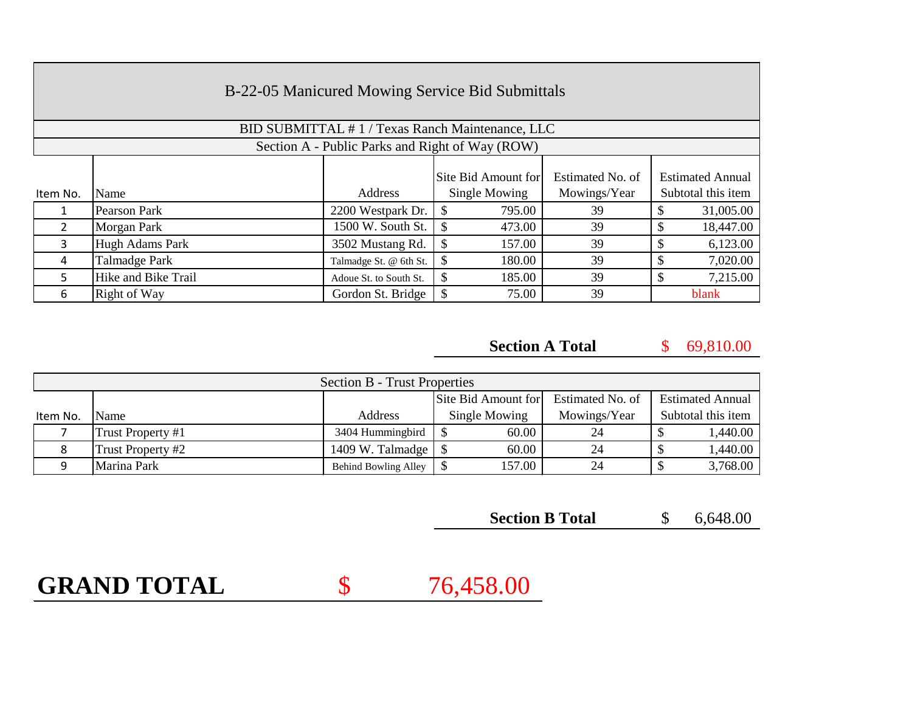|          | B-22-05 Manicured Mowing Service Bid Submittals |                                                 |                         |                  |                                               |  |  |  |  |
|----------|-------------------------------------------------|-------------------------------------------------|-------------------------|------------------|-----------------------------------------------|--|--|--|--|
|          |                                                 | BID SUBMITTAL #1/Texas Ranch Maintenance, LLC   |                         |                  |                                               |  |  |  |  |
|          |                                                 | Section A - Public Parks and Right of Way (ROW) |                         |                  |                                               |  |  |  |  |
|          |                                                 | <b>Address</b>                                  | Site Bid Amount for     | Estimated No. of | <b>Estimated Annual</b><br>Subtotal this item |  |  |  |  |
| Item No. | Name                                            |                                                 | Single Mowing           | Mowings/Year     |                                               |  |  |  |  |
|          | Pearson Park                                    | 2200 Westpark Dr.                               | 795.00                  | 39               | 31,005.00                                     |  |  |  |  |
| 2        | Morgan Park                                     | 1500 W. South St.                               | \$<br>473.00            | 39               | 18,447.00<br>S                                |  |  |  |  |
| 3        | Hugh Adams Park                                 | 3502 Mustang Rd.                                | <sup>\$</sup><br>157.00 | 39               | 6,123.00                                      |  |  |  |  |
| 4        | Talmadge Park                                   | Talmadge St. @ 6th St.                          | \$<br>180.00            | 39               | 7,020.00                                      |  |  |  |  |
| 5        | Hike and Bike Trail                             | Adoue St. to South St.                          | \$<br>185.00            | 39               | 7,215.00                                      |  |  |  |  |
| 6        | Right of Way                                    | Gordon St. Bridge                               | \$<br>75.00             | 39               | blank                                         |  |  |  |  |

**Section A Total**

\$ 69,810.00

| <b>Section B - Trust Properties</b> |                   |                            |                                         |              |                         |  |  |  |
|-------------------------------------|-------------------|----------------------------|-----------------------------------------|--------------|-------------------------|--|--|--|
|                                     |                   |                            | Estimated No. of<br>Site Bid Amount for |              | <b>Estimated Annual</b> |  |  |  |
| Item No.                            | <b>Name</b>       | Address                    | Single Mowing                           | Mowings/Year | Subtotal this item      |  |  |  |
|                                     | Trust Property #1 | 3404 Hummingbird           | 60.00                                   | 24           | 1,440.00                |  |  |  |
|                                     | Trust Property #2 | 1409 W. Talmadge $\vert \$ | 60.00                                   | 24           | 1,440.00                |  |  |  |
|                                     | Marina Park       | Behind Bowling Alley       | 157.00                                  | 24           | 3,768.00                |  |  |  |

| <b>Section B Total</b> |  | 6,648.00 |
|------------------------|--|----------|
|------------------------|--|----------|

**GRAND TOTAL**

\$ 76,458.00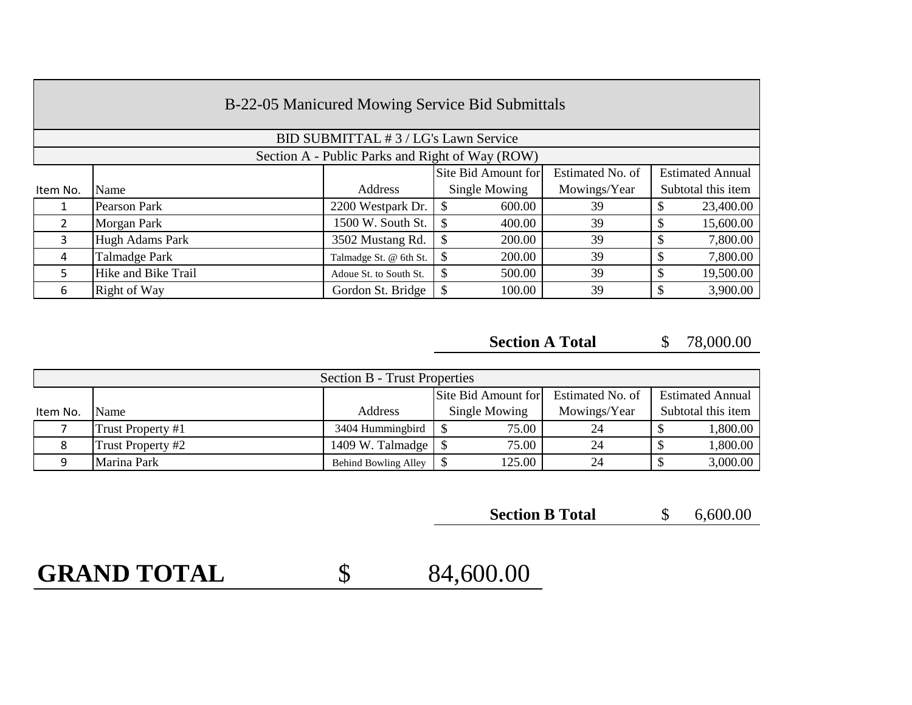| B-22-05 Manicured Mowing Service Bid Submittals |                     |                                      |                                                                    |              |                    |  |  |  |
|-------------------------------------------------|---------------------|--------------------------------------|--------------------------------------------------------------------|--------------|--------------------|--|--|--|
|                                                 |                     | BID SUBMITTAL #3 / LG's Lawn Service |                                                                    |              |                    |  |  |  |
| Section A - Public Parks and Right of Way (ROW) |                     |                                      |                                                                    |              |                    |  |  |  |
|                                                 |                     |                                      | Site Bid Amount for<br>Estimated No. of<br><b>Estimated Annual</b> |              |                    |  |  |  |
| Item No.                                        | Name                | Address                              | Single Mowing                                                      | Mowings/Year | Subtotal this item |  |  |  |
| Т.                                              | Pearson Park        | 2200 Westpark Dr.                    | 600.00<br>S                                                        | 39           | 23,400.00          |  |  |  |
| $\mathfrak{D}$                                  | Morgan Park         | 1500 W. South St.                    | \$<br>400.00                                                       | 39           | 15,600.00          |  |  |  |
| $\mathbf{3}$                                    | Hugh Adams Park     | 3502 Mustang Rd.                     | \$<br>200.00                                                       | 39           | 7,800.00           |  |  |  |
| 4                                               | Talmadge Park       | Talmadge St. @ 6th St.               | 200.00<br>\$                                                       | 39           | 7,800.00           |  |  |  |
| 5.                                              | Hike and Bike Trail | Adoue St. to South St.               | 500.00<br>\$                                                       | 39           | 19,500.00          |  |  |  |
| 6                                               | Right of Way        | Gordon St. Bridge                    | 100.00<br>\$                                                       | 39           | 3,900.00           |  |  |  |

**Section A Total**

\$ 78,000.00

| <b>Section B - Trust Properties</b> |                   |                            |                     |                         |                    |  |  |  |
|-------------------------------------|-------------------|----------------------------|---------------------|-------------------------|--------------------|--|--|--|
|                                     |                   |                            | Site Bid Amount for | <b>Estimated Annual</b> |                    |  |  |  |
| Item No.                            | <b>Name</b>       | Address                    | Single Mowing       | Mowings/Year            | Subtotal this item |  |  |  |
|                                     | Trust Property #1 | 3404 Hummingbird           | 75.00               | 24                      | 1,800.00           |  |  |  |
|                                     | Trust Property #2 | 1409 W. Talmadge $\vert \$ | 75.00               | 24                      | 1,800.00           |  |  |  |
|                                     | Marina Park       | Behind Bowling Alley       | 125.00              | 24                      | 3,000.00           |  |  |  |

| <b>Section B Total</b> |  | 6,600.00 |
|------------------------|--|----------|
|------------------------|--|----------|

**GRAND TOTAL**

\$ 84,600.00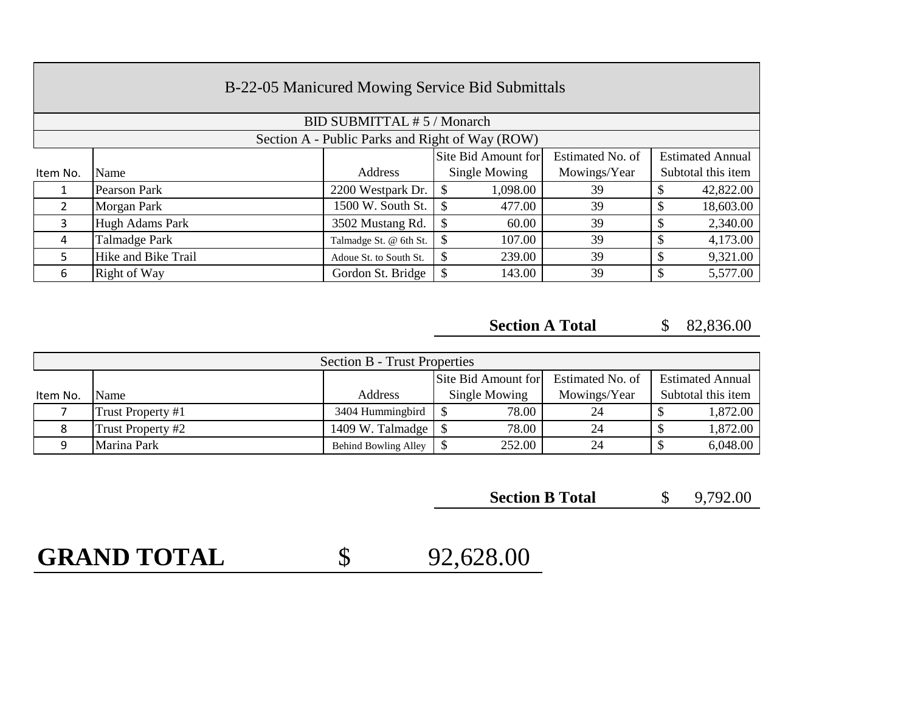| B-22-05 Manicured Mowing Service Bid Submittals |                            |                        |                                         |              |  |                         |  |  |  |
|-------------------------------------------------|----------------------------|------------------------|-----------------------------------------|--------------|--|-------------------------|--|--|--|
|                                                 | BID SUBMITTAL #5 / Monarch |                        |                                         |              |  |                         |  |  |  |
| Section A - Public Parks and Right of Way (ROW) |                            |                        |                                         |              |  |                         |  |  |  |
|                                                 |                            |                        | Estimated No. of<br>Site Bid Amount for |              |  | <b>Estimated Annual</b> |  |  |  |
| Item No.                                        | Name                       | Address                | Single Mowing                           | Mowings/Year |  | Subtotal this item      |  |  |  |
|                                                 | Pearson Park               | 2200 Westpark Dr.      | 1,098.00<br><sup>\$</sup>               | 39           |  | 42,822.00               |  |  |  |
| $\overline{2}$                                  | Morgan Park                | 1500 W. South St.      | $\mathcal{S}$<br>477.00                 | 39           |  | 18,603.00               |  |  |  |
| 3                                               | Hugh Adams Park            | 3502 Mustang Rd.       | $\mathcal{S}$<br>60.00                  | 39           |  | 2,340.00                |  |  |  |
| 4                                               | Talmadge Park              | Talmadge St. @ 6th St. | $\mathcal{S}$<br>107.00                 | 39           |  | 4,173.00                |  |  |  |
| 5                                               | Hike and Bike Trail        | Adoue St. to South St. | \$<br>239.00                            | 39           |  | 9,321.00                |  |  |  |
| 6                                               | Right of Way               | Gordon St. Bridge      | $\boldsymbol{\mathsf{S}}$<br>143.00     | 39           |  | 5,577.00                |  |  |  |

#### \$ 82,836.00 **Section A Total**

| <b>Section B - Trust Properties</b> |                   |                                |                     |                         |                    |  |  |  |
|-------------------------------------|-------------------|--------------------------------|---------------------|-------------------------|--------------------|--|--|--|
|                                     |                   |                                | Site Bid Amount for | <b>Estimated Annual</b> |                    |  |  |  |
| Item No.                            | Name              | Address                        | Single Mowing       | Mowings/Year            | Subtotal this item |  |  |  |
|                                     | Trust Property #1 | 3404 Hummingbird               | 78.00               | 24                      | 1,872.00           |  |  |  |
|                                     | Trust Property #2 | 1409 W. Talmadge $\frac{1}{s}$ | 78.00               | 24                      | 1,872.00           |  |  |  |
|                                     | Marina Park       | Behind Bowling Alley           | 252.00              | 24                      | 6,048.00           |  |  |  |

\$ 9,792.00 **Section B Total**

# **GRAND TOTAL**

\$ 92,628.00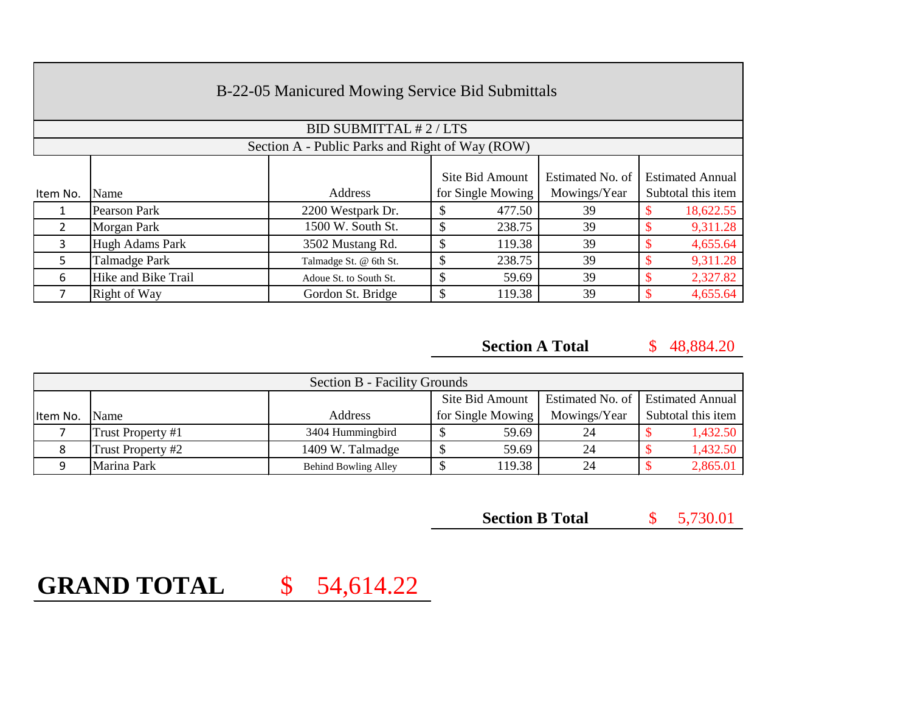|               | B-22-05 Manicured Mowing Service Bid Submittals |                                                 |                                      |        |                                  |                                               |           |  |  |
|---------------|-------------------------------------------------|-------------------------------------------------|--------------------------------------|--------|----------------------------------|-----------------------------------------------|-----------|--|--|
|               |                                                 | <b>BID SUBMITTAL #2/LTS</b>                     |                                      |        |                                  |                                               |           |  |  |
|               |                                                 | Section A - Public Parks and Right of Way (ROW) |                                      |        |                                  |                                               |           |  |  |
| Item No.      | Name                                            | Address                                         | Site Bid Amount<br>for Single Mowing |        | Estimated No. of<br>Mowings/Year | <b>Estimated Annual</b><br>Subtotal this item |           |  |  |
|               | Pearson Park                                    | 2200 Westpark Dr.                               | S                                    | 477.50 | 39                               |                                               | 18,622.55 |  |  |
| $\mathcal{P}$ | Morgan Park                                     | 1500 W. South St.                               | \$.                                  | 238.75 | 39                               |                                               | 9,311.28  |  |  |
| 3             | <b>Hugh Adams Park</b>                          | 3502 Mustang Rd.                                | S                                    | 119.38 | 39                               |                                               | 4,655.64  |  |  |
| 5             | Talmadge Park                                   | Talmadge St. @ 6th St.                          | S                                    | 238.75 | 39                               |                                               | 9,311.28  |  |  |
| 6             | Hike and Bike Trail                             | Adoue St. to South St.                          | \$                                   | 59.69  | 39                               |                                               | 2,327.82  |  |  |
|               | Right of Way                                    | Gordon St. Bridge                               |                                      | 119.38 | 39                               |                                               | 4,655.64  |  |  |

\$ 48,884.20 **Section A Total**

| <b>Section B - Facility Grounds</b> |                   |                      |                                     |              |                         |  |  |  |
|-------------------------------------|-------------------|----------------------|-------------------------------------|--------------|-------------------------|--|--|--|
|                                     |                   |                      | Estimated No. of<br>Site Bid Amount |              | <b>Estimated Annual</b> |  |  |  |
| Item No.                            | <b>Name</b>       | Address              | for Single Mowing                   | Mowings/Year | Subtotal this item      |  |  |  |
|                                     | Trust Property #1 | 3404 Hummingbird     | 59.69                               | 24           | 1,432.50                |  |  |  |
| 8                                   | Trust Property #2 | 1409 W. Talmadge     | 59.69                               | 24           | 1,432.50                |  |  |  |
|                                     | Marina Park       | Behind Bowling Alley | 119.38                              | 24           | 2,865.01                |  |  |  |

| <b>Section B Total</b> |  | 5,730.01 |
|------------------------|--|----------|
|------------------------|--|----------|

## **GRAND TOTAL** \$ 54,614.22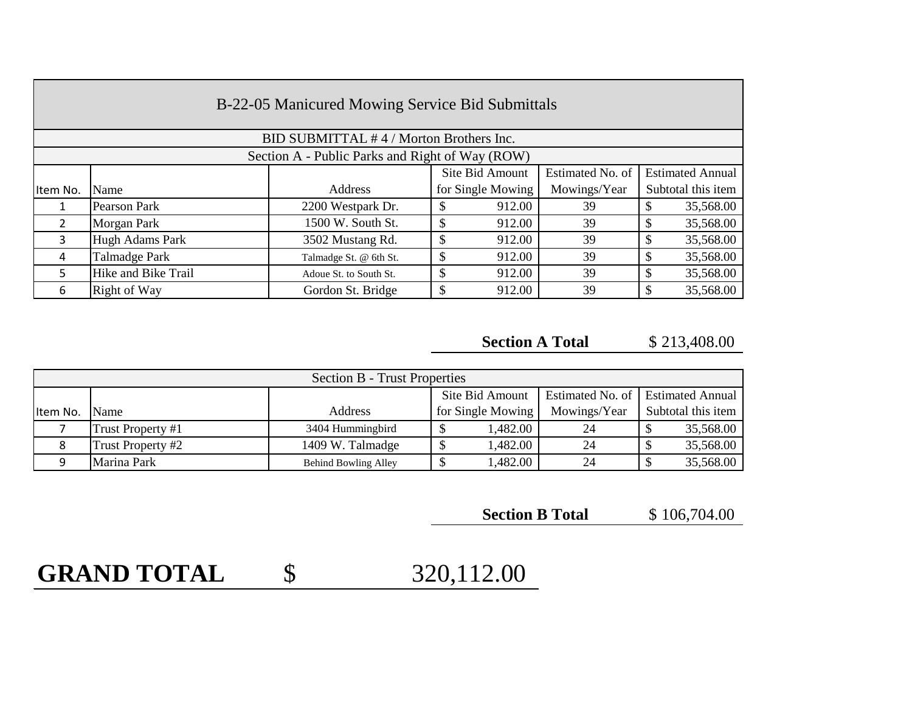| B-22-05 Manicured Mowing Service Bid Submittals |                                                 |                        |  |                   |                  |  |                         |  |  |
|-------------------------------------------------|-------------------------------------------------|------------------------|--|-------------------|------------------|--|-------------------------|--|--|
|                                                 | BID SUBMITTAL #4/Morton Brothers Inc.           |                        |  |                   |                  |  |                         |  |  |
|                                                 | Section A - Public Parks and Right of Way (ROW) |                        |  |                   |                  |  |                         |  |  |
|                                                 |                                                 |                        |  | Site Bid Amount   | Estimated No. of |  | <b>Estimated Annual</b> |  |  |
| Item No.                                        | Name                                            | Address                |  | for Single Mowing | Mowings/Year     |  | Subtotal this item      |  |  |
| 1                                               | Pearson Park                                    | 2200 Westpark Dr.      |  | 912.00            | 39               |  | 35,568.00               |  |  |
| $\overline{2}$                                  | Morgan Park                                     | 1500 W. South St.      |  | 912.00            | 39               |  | 35,568.00               |  |  |
| 3                                               | <b>Hugh Adams Park</b>                          | 3502 Mustang Rd.       |  | 912.00            | 39               |  | 35,568.00               |  |  |
| 4                                               | Talmadge Park                                   | Talmadge St. @ 6th St. |  | 912.00            | 39               |  | 35,568.00               |  |  |
| 5.                                              | Hike and Bike Trail                             | Adoue St. to South St. |  | 912.00            | 39               |  | 35,568.00               |  |  |
| 6                                               | Right of Way                                    | Gordon St. Bridge      |  | 912.00            | 39               |  | 35,568.00               |  |  |

#### \$ 213,408.00 **Section A Total**

| <b>Section B - Trust Properties</b> |                   |                             |                   |              |                                     |  |  |
|-------------------------------------|-------------------|-----------------------------|-------------------|--------------|-------------------------------------|--|--|
|                                     |                   |                             | Site Bid Amount   |              | Estimated No. of   Estimated Annual |  |  |
| Item No. Name                       |                   | <b>Address</b>              | for Single Mowing | Mowings/Year | Subtotal this item                  |  |  |
|                                     | Trust Property #1 | 3404 Hummingbird            | 1,482.00          | 24           | 35,568.00                           |  |  |
| 8                                   | Trust Property #2 | 1409 W. Talmadge            | 1,482.00          | 24           | 35,568.00                           |  |  |
| 9                                   | Marina Park       | <b>Behind Bowling Alley</b> | 1,482.00          | 24           | 35,568.00                           |  |  |

\$ 106,704.00 **Section B Total**

## **GRAND TOTAL** \$ 320,112.00